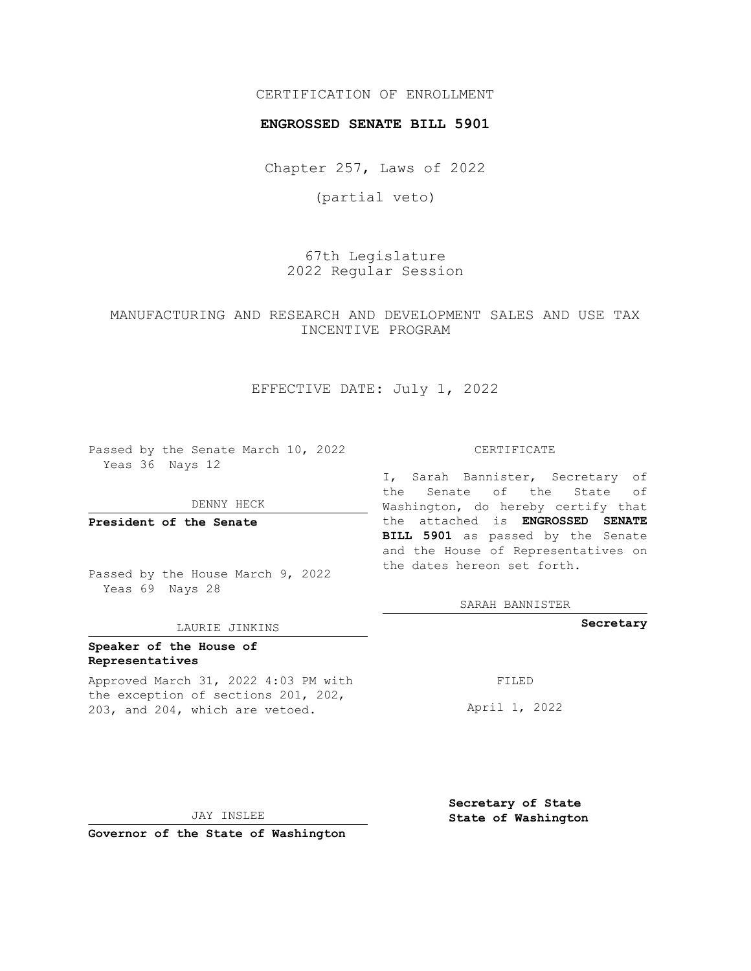#### CERTIFICATION OF ENROLLMENT

#### **ENGROSSED SENATE BILL 5901**

Chapter 257, Laws of 2022

(partial veto)

67th Legislature 2022 Regular Session

### MANUFACTURING AND RESEARCH AND DEVELOPMENT SALES AND USE TAX INCENTIVE PROGRAM

#### EFFECTIVE DATE: July 1, 2022

Passed by the Senate March 10, 2022 Yeas 36 Nays 12

DENNY HECK

**President of the Senate**

Passed by the House March 9, 2022 Yeas 69 Nays 28

#### LAURIE JINKINS

#### **Speaker of the House of Representatives**

Approved March 31, 2022 4:03 PM with the exception of sections 201, 202, 203, and 204, which are vetoed.

CERTIFICATE

I, Sarah Bannister, Secretary of the Senate of the State of Washington, do hereby certify that the attached is **ENGROSSED SENATE BILL 5901** as passed by the Senate and the House of Representatives on the dates hereon set forth.

SARAH BANNISTER

**Secretary**

FILED

April 1, 2022

JAY INSLEE

**Governor of the State of Washington**

**Secretary of State State of Washington**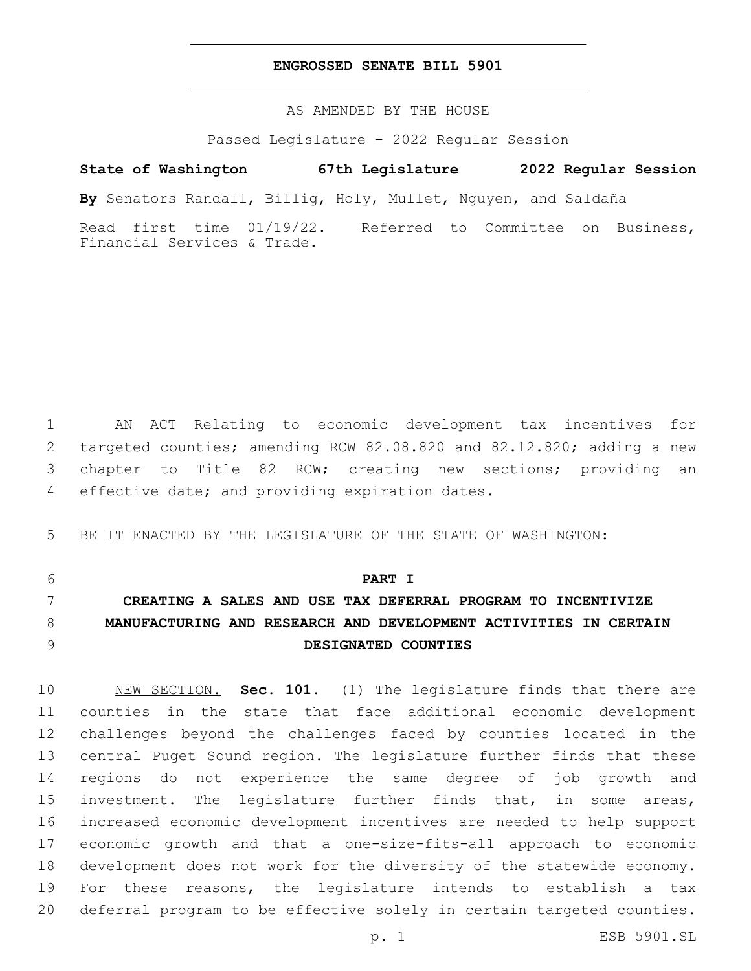#### **ENGROSSED SENATE BILL 5901**

AS AMENDED BY THE HOUSE

Passed Legislature - 2022 Regular Session

## **State of Washington 67th Legislature 2022 Regular Session**

**By** Senators Randall, Billig, Holy, Mullet, Nguyen, and Saldaña

Read first time 01/19/22. Referred to Committee on Business, Financial Services & Trade.

 AN ACT Relating to economic development tax incentives for targeted counties; amending RCW 82.08.820 and 82.12.820; adding a new chapter to Title 82 RCW; creating new sections; providing an 4 effective date; and providing expiration dates.

BE IT ENACTED BY THE LEGISLATURE OF THE STATE OF WASHINGTON:

**PART I**

# **CREATING A SALES AND USE TAX DEFERRAL PROGRAM TO INCENTIVIZE MANUFACTURING AND RESEARCH AND DEVELOPMENT ACTIVITIES IN CERTAIN DESIGNATED COUNTIES**

 NEW SECTION. **Sec. 101.** (1) The legislature finds that there are counties in the state that face additional economic development challenges beyond the challenges faced by counties located in the central Puget Sound region. The legislature further finds that these regions do not experience the same degree of job growth and investment. The legislature further finds that, in some areas, increased economic development incentives are needed to help support economic growth and that a one-size-fits-all approach to economic development does not work for the diversity of the statewide economy. For these reasons, the legislature intends to establish a tax deferral program to be effective solely in certain targeted counties.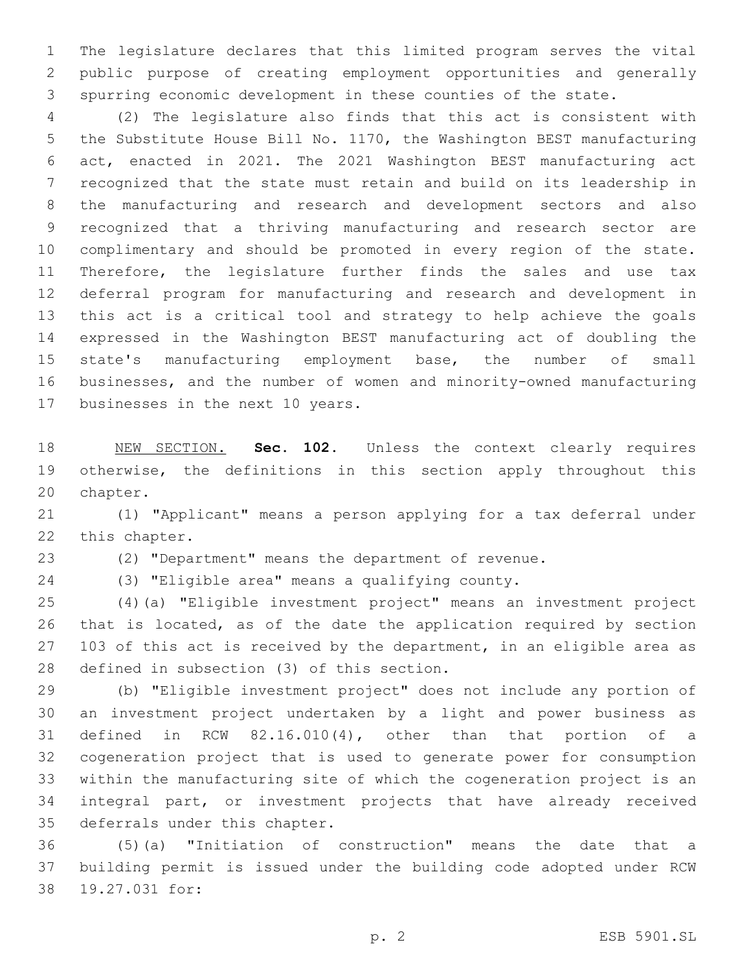The legislature declares that this limited program serves the vital public purpose of creating employment opportunities and generally spurring economic development in these counties of the state.

 (2) The legislature also finds that this act is consistent with the Substitute House Bill No. 1170, the Washington BEST manufacturing act, enacted in 2021. The 2021 Washington BEST manufacturing act recognized that the state must retain and build on its leadership in the manufacturing and research and development sectors and also recognized that a thriving manufacturing and research sector are complimentary and should be promoted in every region of the state. Therefore, the legislature further finds the sales and use tax deferral program for manufacturing and research and development in this act is a critical tool and strategy to help achieve the goals expressed in the Washington BEST manufacturing act of doubling the state's manufacturing employment base, the number of small businesses, and the number of women and minority-owned manufacturing 17 businesses in the next 10 years.

 NEW SECTION. **Sec. 102.** Unless the context clearly requires 19 otherwise, the definitions in this section apply throughout this chapter.

 (1) "Applicant" means a person applying for a tax deferral under 22 this chapter.

(2) "Department" means the department of revenue.

 (3) "Eligible area" means a qualifying county. (4)(a) "Eligible investment project" means an investment project

 that is located, as of the date the application required by section 27 103 of this act is received by the department, in an eligible area as 28 defined in subsection (3) of this section.

 (b) "Eligible investment project" does not include any portion of an investment project undertaken by a light and power business as defined in RCW 82.16.010(4), other than that portion of a cogeneration project that is used to generate power for consumption within the manufacturing site of which the cogeneration project is an integral part, or investment projects that have already received 35 deferrals under this chapter.

 (5)(a) "Initiation of construction" means the date that a building permit is issued under the building code adopted under RCW 38 19.27.031 for: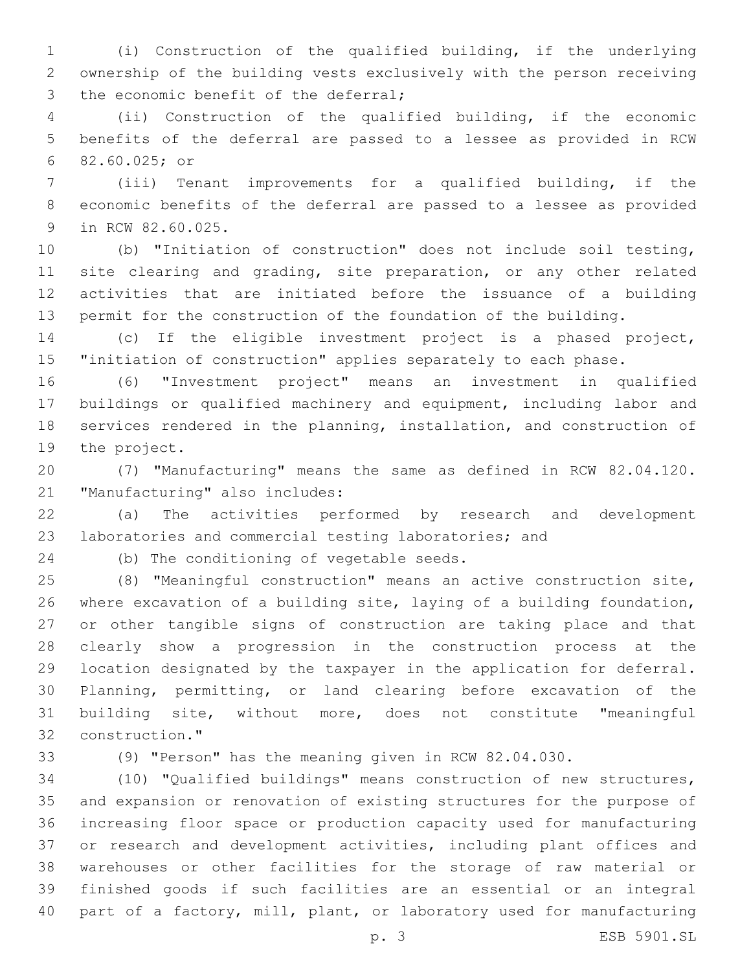(i) Construction of the qualified building, if the underlying ownership of the building vests exclusively with the person receiving 3 the economic benefit of the deferral;

 (ii) Construction of the qualified building, if the economic benefits of the deferral are passed to a lessee as provided in RCW 82.60.025; or6

 (iii) Tenant improvements for a qualified building, if the economic benefits of the deferral are passed to a lessee as provided 9 in RCW 82.60.025.

 (b) "Initiation of construction" does not include soil testing, 11 site clearing and grading, site preparation, or any other related activities that are initiated before the issuance of a building permit for the construction of the foundation of the building.

 (c) If the eligible investment project is a phased project, "initiation of construction" applies separately to each phase.

 (6) "Investment project" means an investment in qualified buildings or qualified machinery and equipment, including labor and services rendered in the planning, installation, and construction of 19 the project.

 (7) "Manufacturing" means the same as defined in RCW 82.04.120. 21 "Manufacturing" also includes:

 (a) The activities performed by research and development laboratories and commercial testing laboratories; and

24 (b) The conditioning of vegetable seeds.

 (8) "Meaningful construction" means an active construction site, where excavation of a building site, laying of a building foundation, or other tangible signs of construction are taking place and that clearly show a progression in the construction process at the location designated by the taxpayer in the application for deferral. Planning, permitting, or land clearing before excavation of the building site, without more, does not constitute "meaningful 32 construction."

(9) "Person" has the meaning given in RCW 82.04.030.

 (10) "Qualified buildings" means construction of new structures, and expansion or renovation of existing structures for the purpose of increasing floor space or production capacity used for manufacturing or research and development activities, including plant offices and warehouses or other facilities for the storage of raw material or finished goods if such facilities are an essential or an integral part of a factory, mill, plant, or laboratory used for manufacturing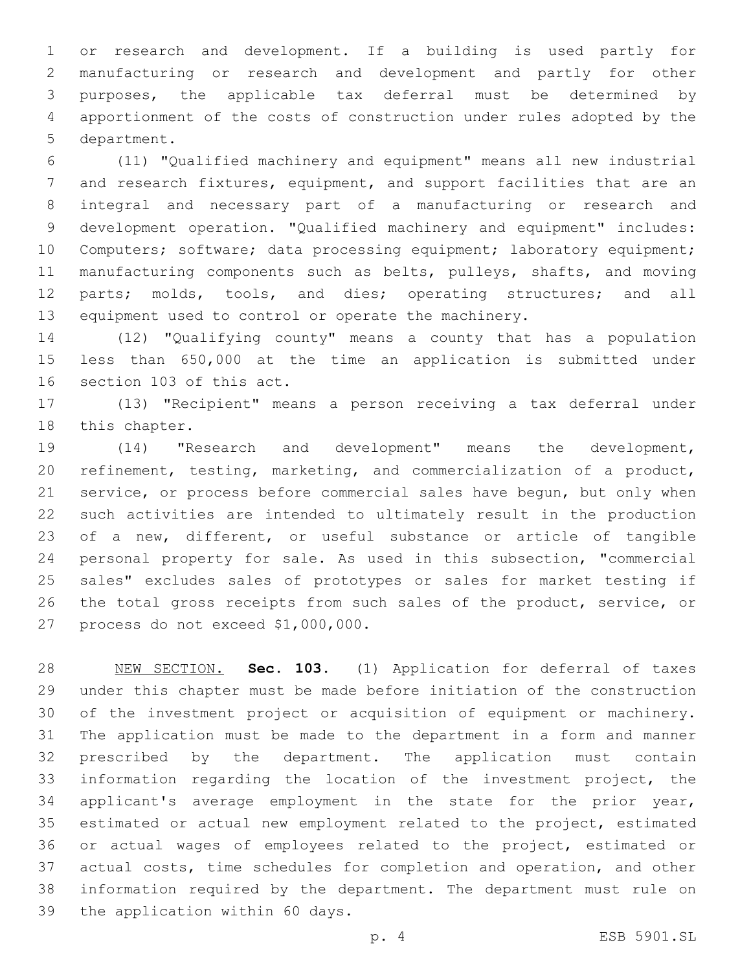or research and development. If a building is used partly for manufacturing or research and development and partly for other purposes, the applicable tax deferral must be determined by apportionment of the costs of construction under rules adopted by the 5 department.

 (11) "Qualified machinery and equipment" means all new industrial and research fixtures, equipment, and support facilities that are an integral and necessary part of a manufacturing or research and development operation. "Qualified machinery and equipment" includes: 10 Computers; software; data processing equipment; laboratory equipment; manufacturing components such as belts, pulleys, shafts, and moving parts; molds, tools, and dies; operating structures; and all equipment used to control or operate the machinery.

 (12) "Qualifying county" means a county that has a population less than 650,000 at the time an application is submitted under 16 section 103 of this act.

 (13) "Recipient" means a person receiving a tax deferral under 18 this chapter.

 (14) "Research and development" means the development, refinement, testing, marketing, and commercialization of a product, service, or process before commercial sales have begun, but only when such activities are intended to ultimately result in the production of a new, different, or useful substance or article of tangible personal property for sale. As used in this subsection, "commercial sales" excludes sales of prototypes or sales for market testing if 26 the total gross receipts from such sales of the product, service, or 27 process do not exceed \$1,000,000.

 NEW SECTION. **Sec. 103.** (1) Application for deferral of taxes under this chapter must be made before initiation of the construction of the investment project or acquisition of equipment or machinery. The application must be made to the department in a form and manner prescribed by the department. The application must contain information regarding the location of the investment project, the applicant's average employment in the state for the prior year, estimated or actual new employment related to the project, estimated or actual wages of employees related to the project, estimated or actual costs, time schedules for completion and operation, and other information required by the department. The department must rule on the application within 60 days.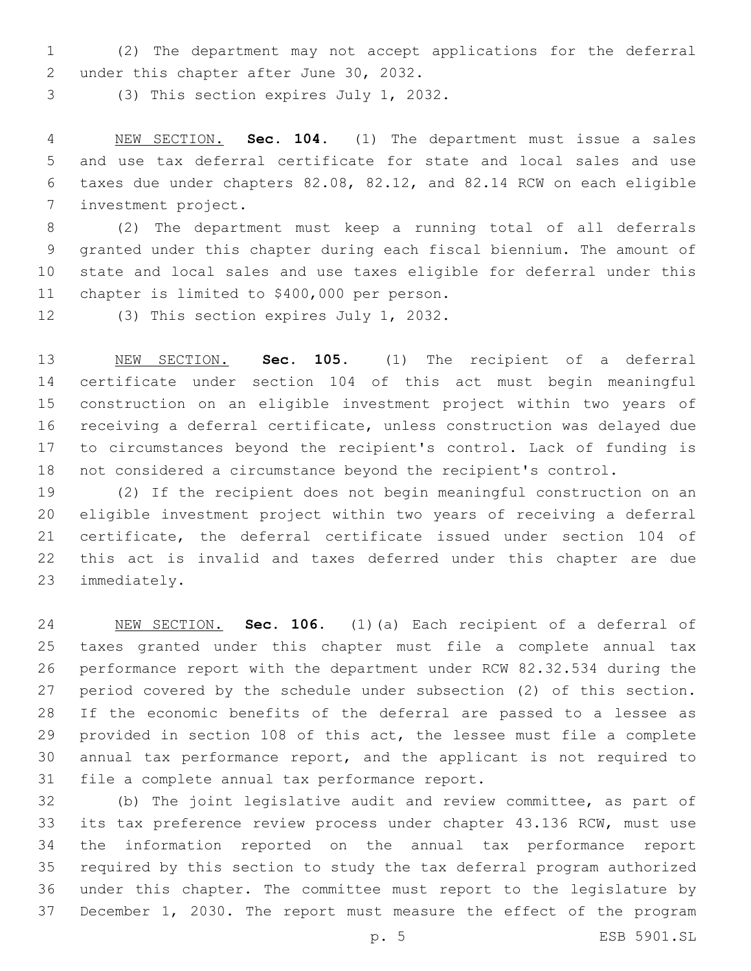(2) The department may not accept applications for the deferral 2 under this chapter after June 30, 2032.

(3) This section expires July 1, 2032.

 NEW SECTION. **Sec. 104.** (1) The department must issue a sales and use tax deferral certificate for state and local sales and use taxes due under chapters 82.08, 82.12, and 82.14 RCW on each eligible investment project.

 (2) The department must keep a running total of all deferrals granted under this chapter during each fiscal biennium. The amount of state and local sales and use taxes eligible for deferral under this 11 chapter is limited to \$400,000 per person.

12 (3) This section expires July 1, 2032.

 NEW SECTION. **Sec. 105.** (1) The recipient of a deferral certificate under section 104 of this act must begin meaningful construction on an eligible investment project within two years of receiving a deferral certificate, unless construction was delayed due to circumstances beyond the recipient's control. Lack of funding is not considered a circumstance beyond the recipient's control.

 (2) If the recipient does not begin meaningful construction on an eligible investment project within two years of receiving a deferral certificate, the deferral certificate issued under section 104 of this act is invalid and taxes deferred under this chapter are due 23 immediately.

 NEW SECTION. **Sec. 106.** (1)(a) Each recipient of a deferral of taxes granted under this chapter must file a complete annual tax performance report with the department under RCW 82.32.534 during the period covered by the schedule under subsection (2) of this section. If the economic benefits of the deferral are passed to a lessee as provided in section 108 of this act, the lessee must file a complete annual tax performance report, and the applicant is not required to file a complete annual tax performance report.

 (b) The joint legislative audit and review committee, as part of its tax preference review process under chapter 43.136 RCW, must use the information reported on the annual tax performance report required by this section to study the tax deferral program authorized under this chapter. The committee must report to the legislature by December 1, 2030. The report must measure the effect of the program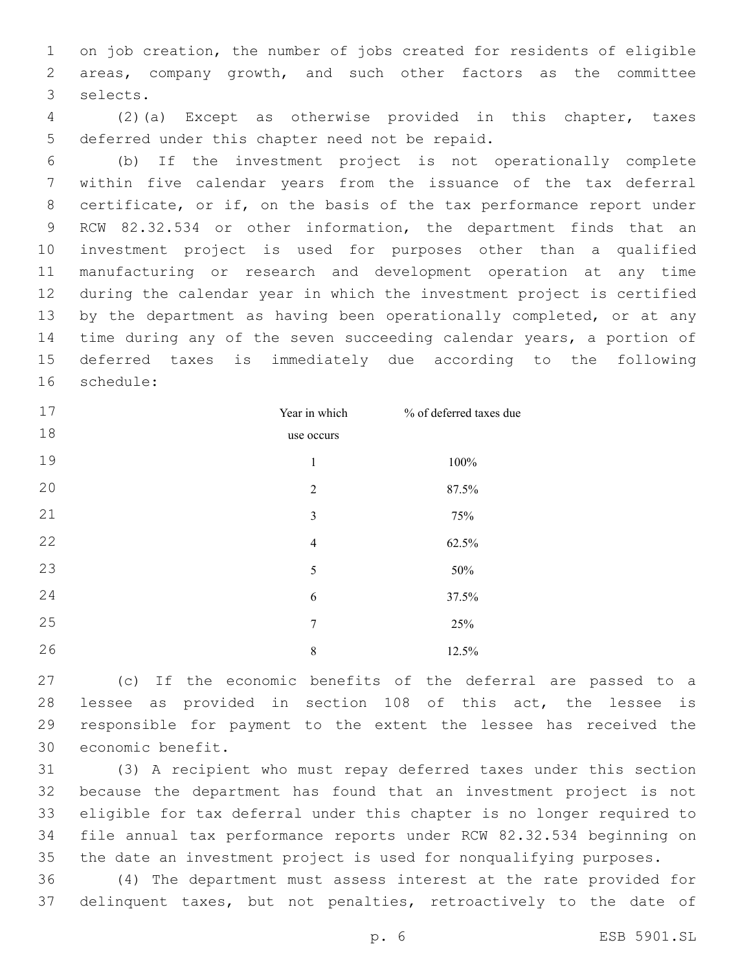on job creation, the number of jobs created for residents of eligible areas, company growth, and such other factors as the committee 3 selects.

 (2)(a) Except as otherwise provided in this chapter, taxes 5 deferred under this chapter need not be repaid.

 (b) If the investment project is not operationally complete within five calendar years from the issuance of the tax deferral certificate, or if, on the basis of the tax performance report under RCW 82.32.534 or other information, the department finds that an investment project is used for purposes other than a qualified manufacturing or research and development operation at any time during the calendar year in which the investment project is certified 13 by the department as having been operationally completed, or at any time during any of the seven succeeding calendar years, a portion of deferred taxes is immediately due according to the following 16 schedule:

| 17 | Year in which  | % of deferred taxes due |
|----|----------------|-------------------------|
| 18 | use occurs     |                         |
| 19 | $\mathbf{1}$   | 100%                    |
| 20 | $\overline{2}$ | 87.5%                   |
| 21 | 3              | 75%                     |
| 22 | $\overline{4}$ | 62.5%                   |
| 23 | 5              | 50%                     |
| 24 | 6              | 37.5%                   |
| 25 | 7              | 25%                     |
| 26 | 8              | 12.5%                   |

 (c) If the economic benefits of the deferral are passed to a lessee as provided in section 108 of this act, the lessee is responsible for payment to the extent the lessee has received the 30 economic benefit.

 (3) A recipient who must repay deferred taxes under this section because the department has found that an investment project is not eligible for tax deferral under this chapter is no longer required to file annual tax performance reports under RCW 82.32.534 beginning on the date an investment project is used for nonqualifying purposes.

 (4) The department must assess interest at the rate provided for delinquent taxes, but not penalties, retroactively to the date of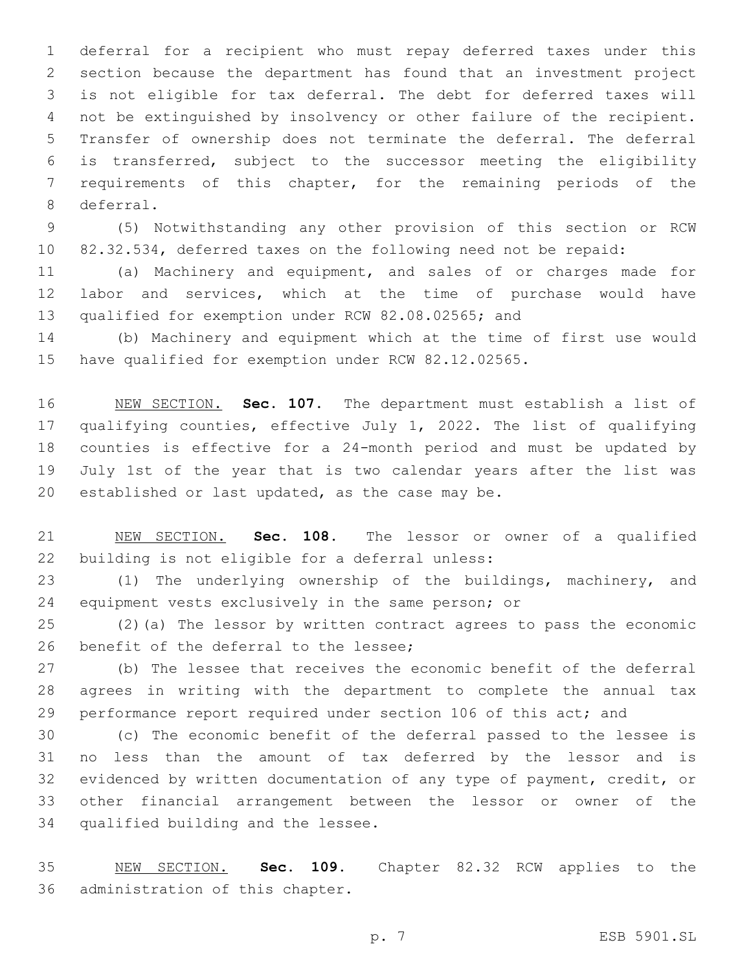deferral for a recipient who must repay deferred taxes under this section because the department has found that an investment project is not eligible for tax deferral. The debt for deferred taxes will not be extinguished by insolvency or other failure of the recipient. Transfer of ownership does not terminate the deferral. The deferral is transferred, subject to the successor meeting the eligibility requirements of this chapter, for the remaining periods of the 8 deferral.

 (5) Notwithstanding any other provision of this section or RCW 82.32.534, deferred taxes on the following need not be repaid:

 (a) Machinery and equipment, and sales of or charges made for labor and services, which at the time of purchase would have qualified for exemption under RCW 82.08.02565; and

 (b) Machinery and equipment which at the time of first use would have qualified for exemption under RCW 82.12.02565.

 NEW SECTION. **Sec. 107.** The department must establish a list of qualifying counties, effective July 1, 2022. The list of qualifying counties is effective for a 24-month period and must be updated by July 1st of the year that is two calendar years after the list was established or last updated, as the case may be.

 NEW SECTION. **Sec. 108.** The lessor or owner of a qualified building is not eligible for a deferral unless:

 (1) The underlying ownership of the buildings, machinery, and equipment vests exclusively in the same person; or

 (2)(a) The lessor by written contract agrees to pass the economic 26 benefit of the deferral to the lessee;

 (b) The lessee that receives the economic benefit of the deferral agrees in writing with the department to complete the annual tax performance report required under section 106 of this act; and

 (c) The economic benefit of the deferral passed to the lessee is no less than the amount of tax deferred by the lessor and is evidenced by written documentation of any type of payment, credit, or other financial arrangement between the lessor or owner of the 34 qualified building and the lessee.

 NEW SECTION. **Sec. 109.** Chapter 82.32 RCW applies to the administration of this chapter.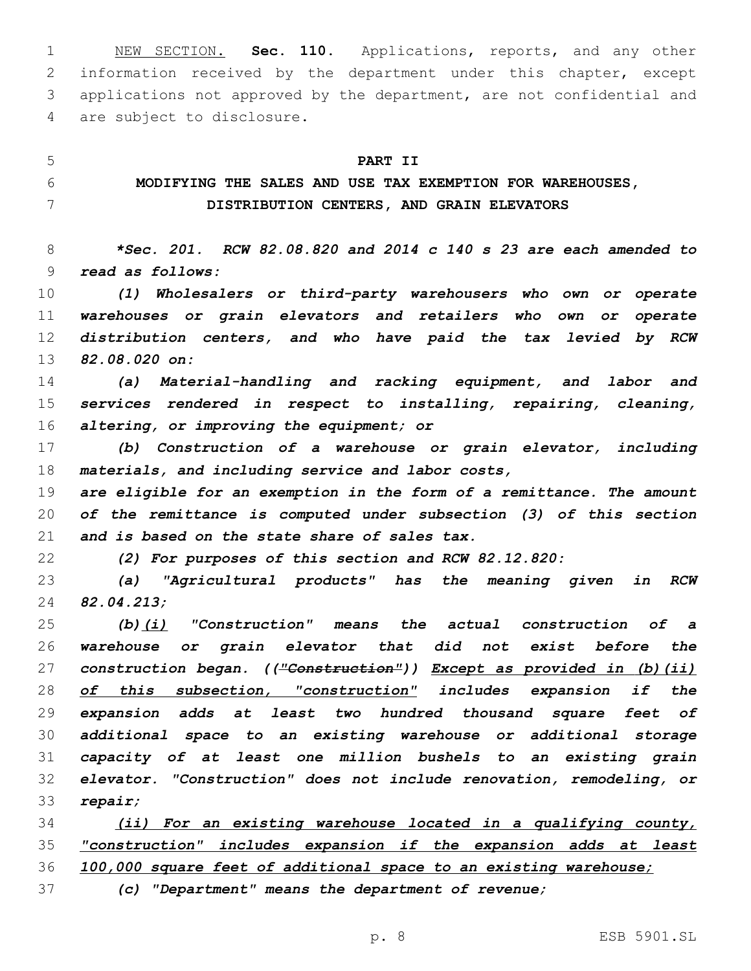NEW SECTION. **Sec. 110.** Applications, reports, and any other information received by the department under this chapter, except applications not approved by the department, are not confidential and are subject to disclosure.

 **PART II MODIFYING THE SALES AND USE TAX EXEMPTION FOR WAREHOUSES, DISTRIBUTION CENTERS, AND GRAIN ELEVATORS**

 *\*Sec. 201. RCW 82.08.820 and 2014 c 140 s 23 are each amended to read as follows:*

 *(1) Wholesalers or third-party warehousers who own or operate warehouses or grain elevators and retailers who own or operate distribution centers, and who have paid the tax levied by RCW 82.08.020 on:*

 *(a) Material-handling and racking equipment, and labor and services rendered in respect to installing, repairing, cleaning, altering, or improving the equipment; or*

 *(b) Construction of a warehouse or grain elevator, including materials, and including service and labor costs,*

 *are eligible for an exemption in the form of a remittance. The amount of the remittance is computed under subsection (3) of this section and is based on the state share of sales tax.*

*(2) For purposes of this section and RCW 82.12.820:*

 *(a) "Agricultural products" has the meaning given in RCW 82.04.213;*

 *(b)(i) "Construction" means the actual construction of a warehouse or grain elevator that did not exist before the construction began. (("Construction")) Except as provided in (b)(ii) of this subsection, "construction" includes expansion if the expansion adds at least two hundred thousand square feet of additional space to an existing warehouse or additional storage capacity of at least one million bushels to an existing grain elevator. "Construction" does not include renovation, remodeling, or repair;*

 *(ii) For an existing warehouse located in a qualifying county, "construction" includes expansion if the expansion adds at least 100,000 square feet of additional space to an existing warehouse;*

*(c) "Department" means the department of revenue;*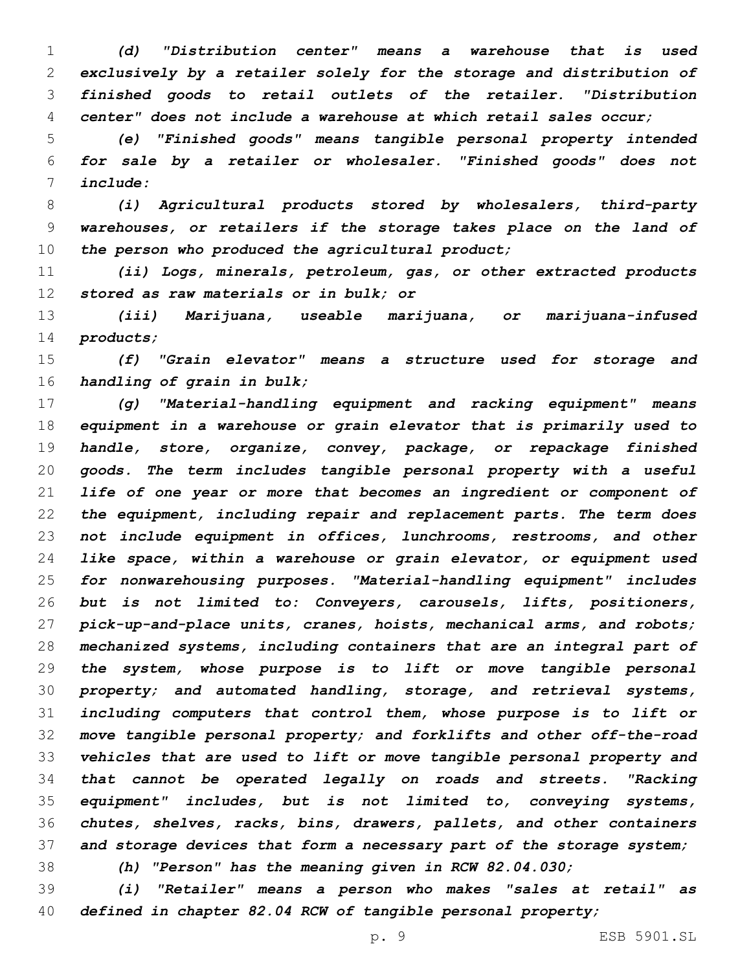*(d) "Distribution center" means a warehouse that is used exclusively by a retailer solely for the storage and distribution of finished goods to retail outlets of the retailer. "Distribution center" does not include a warehouse at which retail sales occur;*

 *(e) "Finished goods" means tangible personal property intended for sale by a retailer or wholesaler. "Finished goods" does not include:*

 *(i) Agricultural products stored by wholesalers, third-party warehouses, or retailers if the storage takes place on the land of the person who produced the agricultural product;*

 *(ii) Logs, minerals, petroleum, gas, or other extracted products stored as raw materials or in bulk; or*

 *(iii) Marijuana, useable marijuana, or marijuana-infused products;*

 *(f) "Grain elevator" means a structure used for storage and handling of grain in bulk;*

 *(g) "Material-handling equipment and racking equipment" means equipment in a warehouse or grain elevator that is primarily used to handle, store, organize, convey, package, or repackage finished goods. The term includes tangible personal property with a useful life of one year or more that becomes an ingredient or component of the equipment, including repair and replacement parts. The term does not include equipment in offices, lunchrooms, restrooms, and other like space, within a warehouse or grain elevator, or equipment used for nonwarehousing purposes. "Material-handling equipment" includes but is not limited to: Conveyers, carousels, lifts, positioners, pick-up-and-place units, cranes, hoists, mechanical arms, and robots; mechanized systems, including containers that are an integral part of the system, whose purpose is to lift or move tangible personal property; and automated handling, storage, and retrieval systems, including computers that control them, whose purpose is to lift or move tangible personal property; and forklifts and other off-the-road vehicles that are used to lift or move tangible personal property and that cannot be operated legally on roads and streets. "Racking equipment" includes, but is not limited to, conveying systems, chutes, shelves, racks, bins, drawers, pallets, and other containers and storage devices that form a necessary part of the storage system;*

*(h) "Person" has the meaning given in RCW 82.04.030;*

 *(i) "Retailer" means a person who makes "sales at retail" as defined in chapter 82.04 RCW of tangible personal property;*

p. 9 ESB 5901.SL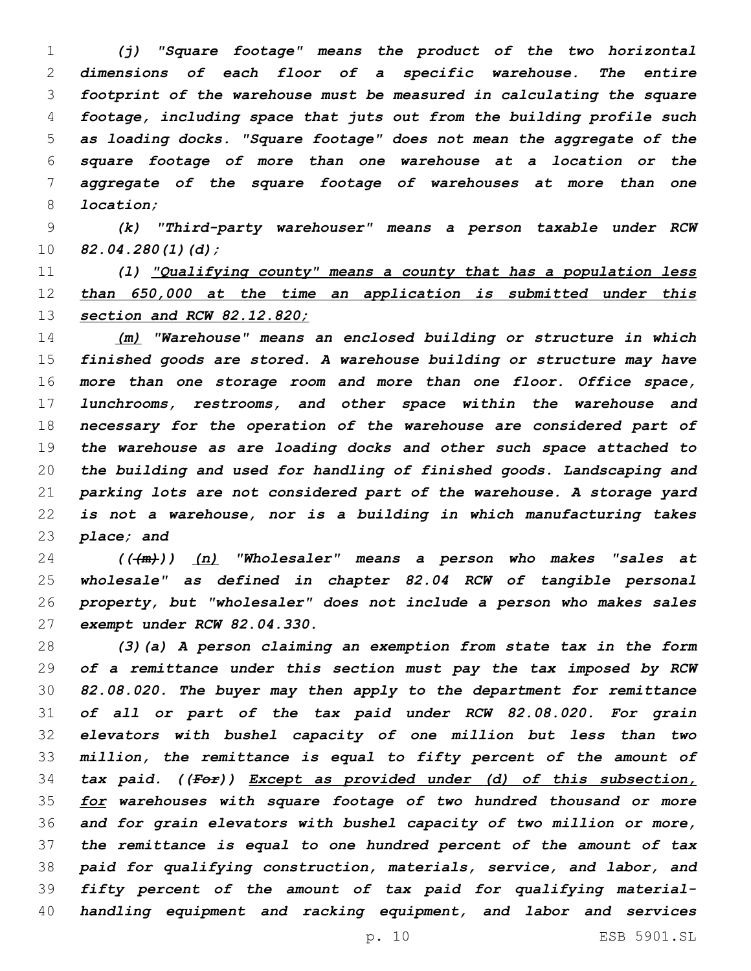*(j) "Square footage" means the product of the two horizontal dimensions of each floor of a specific warehouse. The entire footprint of the warehouse must be measured in calculating the square footage, including space that juts out from the building profile such as loading docks. "Square footage" does not mean the aggregate of the square footage of more than one warehouse at a location or the aggregate of the square footage of warehouses at more than one location;*

 *(k) "Third-party warehouser" means a person taxable under RCW 82.04.280(1)(d);*

 *(l) "Qualifying county" means a county that has a population less than 650,000 at the time an application is submitted under this section and RCW 82.12.820;*

 *(m) "Warehouse" means an enclosed building or structure in which finished goods are stored. A warehouse building or structure may have more than one storage room and more than one floor. Office space, lunchrooms, restrooms, and other space within the warehouse and necessary for the operation of the warehouse are considered part of the warehouse as are loading docks and other such space attached to the building and used for handling of finished goods. Landscaping and parking lots are not considered part of the warehouse. A storage yard is not a warehouse, nor is a building in which manufacturing takes place; and*

 *(((m))) (n) "Wholesaler" means a person who makes "sales at wholesale" as defined in chapter 82.04 RCW of tangible personal property, but "wholesaler" does not include a person who makes sales exempt under RCW 82.04.330.*

 *(3)(a) A person claiming an exemption from state tax in the form of a remittance under this section must pay the tax imposed by RCW 82.08.020. The buyer may then apply to the department for remittance of all or part of the tax paid under RCW 82.08.020. For grain elevators with bushel capacity of one million but less than two million, the remittance is equal to fifty percent of the amount of tax paid. ((For)) Except as provided under (d) of this subsection, for warehouses with square footage of two hundred thousand or more and for grain elevators with bushel capacity of two million or more, the remittance is equal to one hundred percent of the amount of tax paid for qualifying construction, materials, service, and labor, and fifty percent of the amount of tax paid for qualifying material-handling equipment and racking equipment, and labor and services*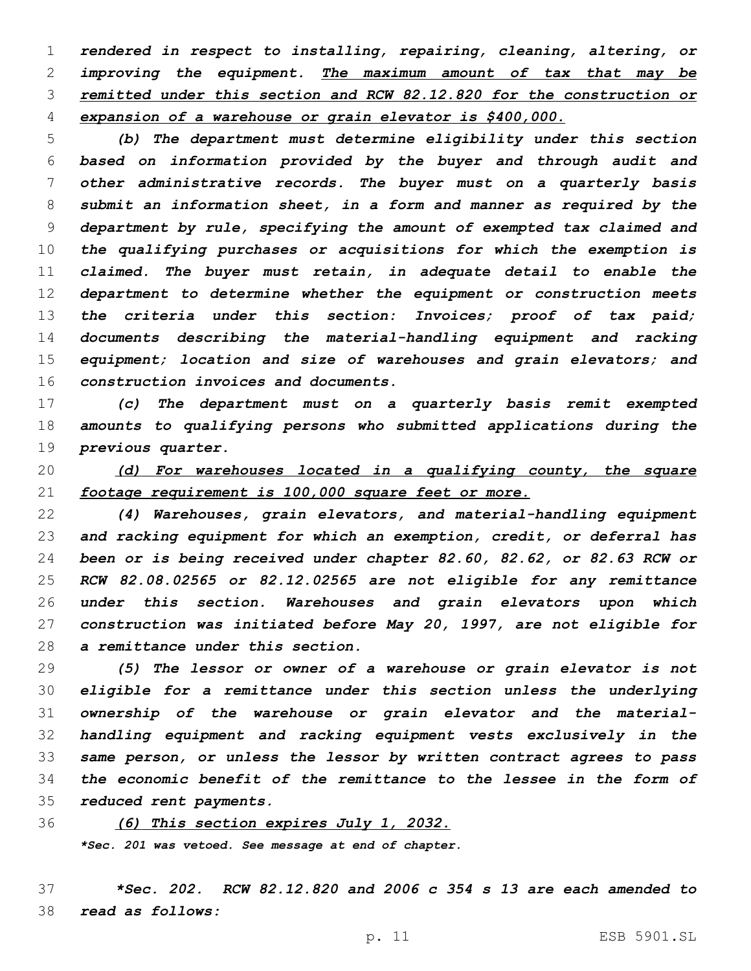*rendered in respect to installing, repairing, cleaning, altering, or improving the equipment. The maximum amount of tax that may be remitted under this section and RCW 82.12.820 for the construction or expansion of a warehouse or grain elevator is \$400,000.*

 *(b) The department must determine eligibility under this section based on information provided by the buyer and through audit and other administrative records. The buyer must on a quarterly basis submit an information sheet, in a form and manner as required by the department by rule, specifying the amount of exempted tax claimed and the qualifying purchases or acquisitions for which the exemption is claimed. The buyer must retain, in adequate detail to enable the department to determine whether the equipment or construction meets the criteria under this section: Invoices; proof of tax paid; documents describing the material-handling equipment and racking equipment; location and size of warehouses and grain elevators; and construction invoices and documents.*

 *(c) The department must on a quarterly basis remit exempted amounts to qualifying persons who submitted applications during the previous quarter.*

 *(d) For warehouses located in a qualifying county, the square footage requirement is 100,000 square feet or more.*

 *(4) Warehouses, grain elevators, and material-handling equipment and racking equipment for which an exemption, credit, or deferral has been or is being received under chapter 82.60, 82.62, or 82.63 RCW or RCW 82.08.02565 or 82.12.02565 are not eligible for any remittance under this section. Warehouses and grain elevators upon which construction was initiated before May 20, 1997, are not eligible for a remittance under this section.*

 *(5) The lessor or owner of a warehouse or grain elevator is not eligible for a remittance under this section unless the underlying ownership of the warehouse or grain elevator and the material- handling equipment and racking equipment vests exclusively in the same person, or unless the lessor by written contract agrees to pass the economic benefit of the remittance to the lessee in the form of reduced rent payments.*

*(6) This section expires July 1, 2032.*

*\*Sec. 201 was vetoed. See message at end of chapter.*

 *\*Sec. 202. RCW 82.12.820 and 2006 c 354 s 13 are each amended to read as follows:*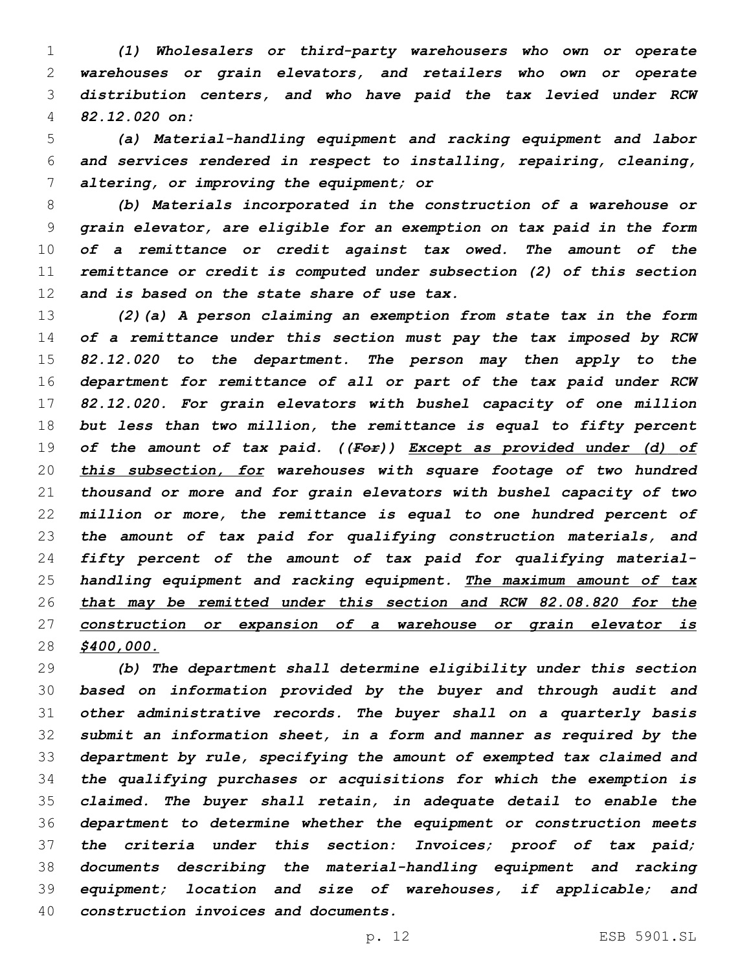*(1) Wholesalers or third-party warehousers who own or operate warehouses or grain elevators, and retailers who own or operate distribution centers, and who have paid the tax levied under RCW 82.12.020 on:*

 *(a) Material-handling equipment and racking equipment and labor and services rendered in respect to installing, repairing, cleaning, altering, or improving the equipment; or*

 *(b) Materials incorporated in the construction of a warehouse or grain elevator, are eligible for an exemption on tax paid in the form of a remittance or credit against tax owed. The amount of the remittance or credit is computed under subsection (2) of this section and is based on the state share of use tax.*

 *(2)(a) A person claiming an exemption from state tax in the form of a remittance under this section must pay the tax imposed by RCW 82.12.020 to the department. The person may then apply to the department for remittance of all or part of the tax paid under RCW 82.12.020. For grain elevators with bushel capacity of one million but less than two million, the remittance is equal to fifty percent of the amount of tax paid. ((For)) Except as provided under (d) of this subsection, for warehouses with square footage of two hundred thousand or more and for grain elevators with bushel capacity of two million or more, the remittance is equal to one hundred percent of the amount of tax paid for qualifying construction materials, and fifty percent of the amount of tax paid for qualifying material- handling equipment and racking equipment. The maximum amount of tax that may be remitted under this section and RCW 82.08.820 for the construction or expansion of a warehouse or grain elevator is \$400,000.*

 *(b) The department shall determine eligibility under this section based on information provided by the buyer and through audit and other administrative records. The buyer shall on a quarterly basis submit an information sheet, in a form and manner as required by the department by rule, specifying the amount of exempted tax claimed and the qualifying purchases or acquisitions for which the exemption is claimed. The buyer shall retain, in adequate detail to enable the department to determine whether the equipment or construction meets the criteria under this section: Invoices; proof of tax paid; documents describing the material-handling equipment and racking equipment; location and size of warehouses, if applicable; and construction invoices and documents.*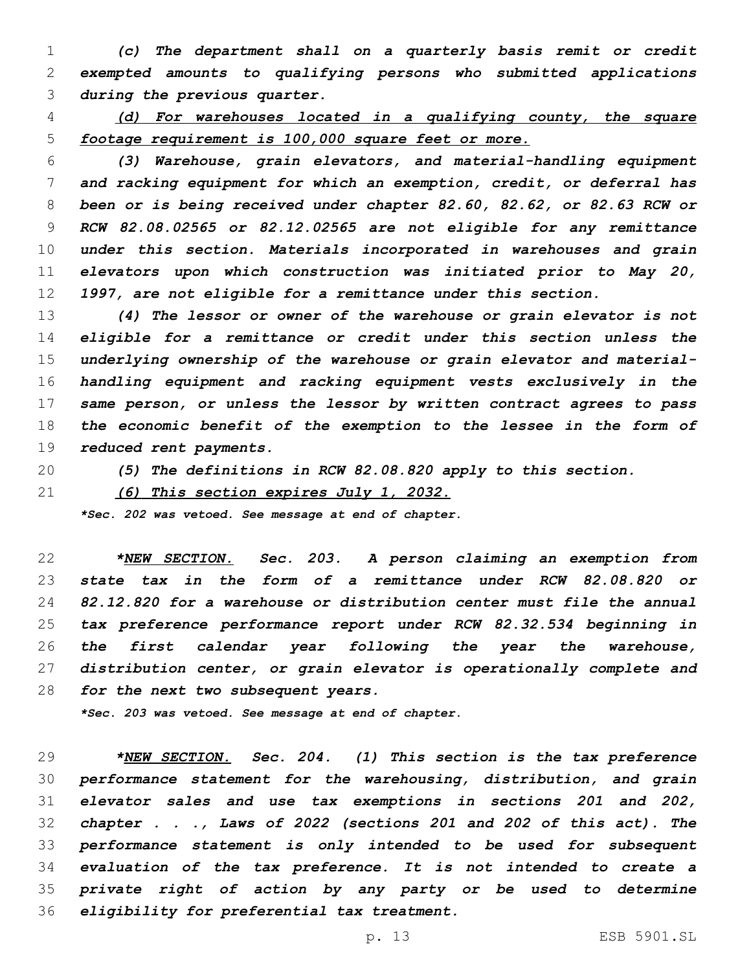*(c) The department shall on a quarterly basis remit or credit exempted amounts to qualifying persons who submitted applications during the previous quarter.*

 *(d) For warehouses located in a qualifying county, the square footage requirement is 100,000 square feet or more.*

 *(3) Warehouse, grain elevators, and material-handling equipment and racking equipment for which an exemption, credit, or deferral has been or is being received under chapter 82.60, 82.62, or 82.63 RCW or RCW 82.08.02565 or 82.12.02565 are not eligible for any remittance under this section. Materials incorporated in warehouses and grain elevators upon which construction was initiated prior to May 20, 1997, are not eligible for a remittance under this section.*

 *(4) The lessor or owner of the warehouse or grain elevator is not eligible for a remittance or credit under this section unless the underlying ownership of the warehouse or grain elevator and material- handling equipment and racking equipment vests exclusively in the same person, or unless the lessor by written contract agrees to pass the economic benefit of the exemption to the lessee in the form of reduced rent payments.*

*(5) The definitions in RCW 82.08.820 apply to this section.*

*(6) This section expires July 1, 2032.*

*\*Sec. 202 was vetoed. See message at end of chapter.*

 *\*NEW SECTION. Sec. 203. A person claiming an exemption from state tax in the form of a remittance under RCW 82.08.820 or 82.12.820 for a warehouse or distribution center must file the annual tax preference performance report under RCW 82.32.534 beginning in the first calendar year following the year the warehouse, distribution center, or grain elevator is operationally complete and for the next two subsequent years.*

*\*Sec. 203 was vetoed. See message at end of chapter.*

 *\*NEW SECTION. Sec. 204. (1) This section is the tax preference performance statement for the warehousing, distribution, and grain elevator sales and use tax exemptions in sections 201 and 202, chapter . . ., Laws of 2022 (sections 201 and 202 of this act). The performance statement is only intended to be used for subsequent evaluation of the tax preference. It is not intended to create a private right of action by any party or be used to determine eligibility for preferential tax treatment.*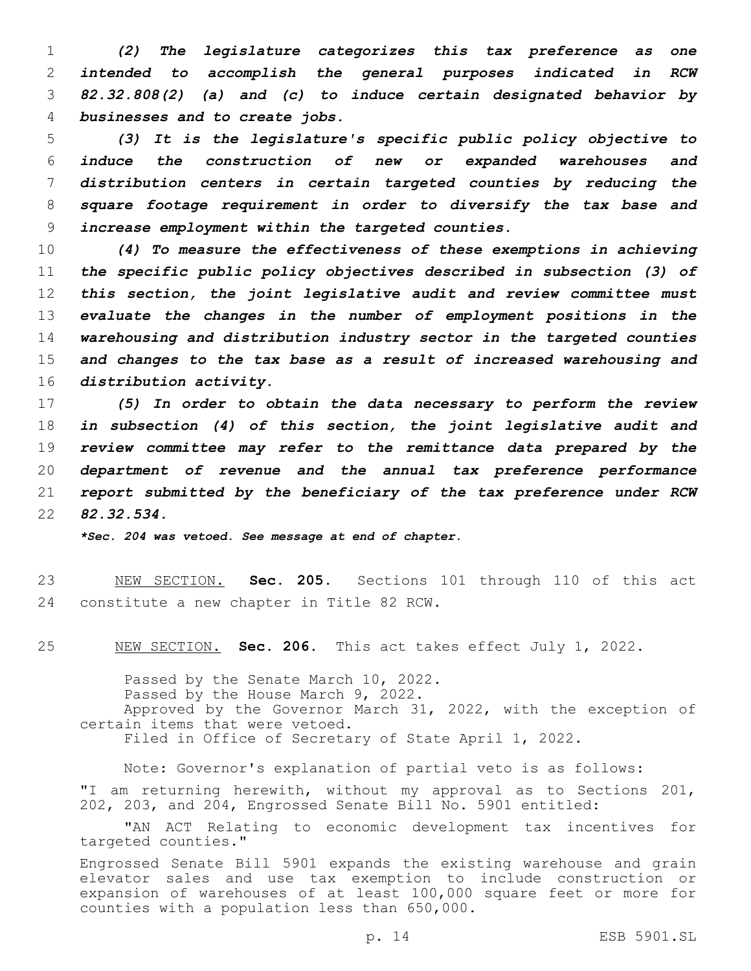*(2) The legislature categorizes this tax preference as one intended to accomplish the general purposes indicated in RCW 82.32.808(2) (a) and (c) to induce certain designated behavior by businesses and to create jobs.*

 *(3) It is the legislature's specific public policy objective to induce the construction of new or expanded warehouses and distribution centers in certain targeted counties by reducing the square footage requirement in order to diversify the tax base and increase employment within the targeted counties.*

 *(4) To measure the effectiveness of these exemptions in achieving the specific public policy objectives described in subsection (3) of this section, the joint legislative audit and review committee must evaluate the changes in the number of employment positions in the warehousing and distribution industry sector in the targeted counties and changes to the tax base as a result of increased warehousing and distribution activity.*

 *(5) In order to obtain the data necessary to perform the review in subsection (4) of this section, the joint legislative audit and review committee may refer to the remittance data prepared by the department of revenue and the annual tax preference performance report submitted by the beneficiary of the tax preference under RCW 82.32.534.*

*\*Sec. 204 was vetoed. See message at end of chapter.*

 NEW SECTION. **Sec. 205.** Sections 101 through 110 of this act constitute a new chapter in Title 82 RCW.

NEW SECTION. **Sec. 206.** This act takes effect July 1, 2022.

Passed by the Senate March 10, 2022. Passed by the House March 9, 2022. Approved by the Governor March 31, 2022, with the exception of certain items that were vetoed. Filed in Office of Secretary of State April 1, 2022.

Note: Governor's explanation of partial veto is as follows: "I am returning herewith, without my approval as to Sections 201, 202, 203, and 204, Engrossed Senate Bill No. 5901 entitled:

"AN ACT Relating to economic development tax incentives for targeted counties."

Engrossed Senate Bill 5901 expands the existing warehouse and grain elevator sales and use tax exemption to include construction or expansion of warehouses of at least 100,000 square feet or more for counties with a population less than 650,000.